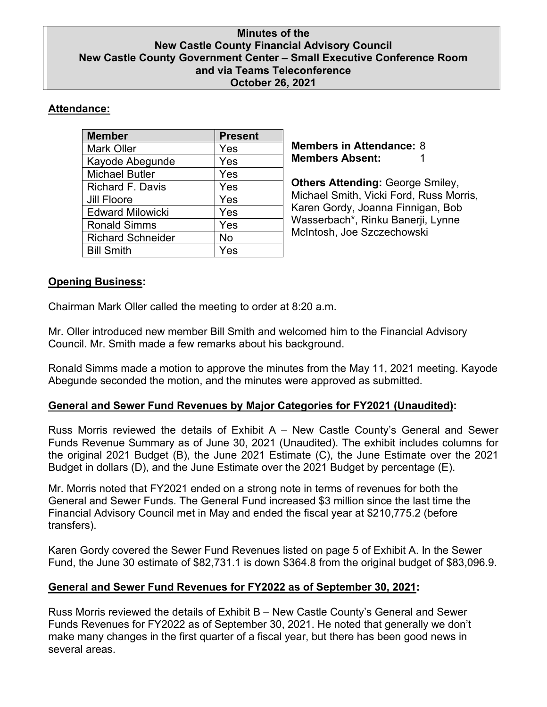#### **Minutes of the New Castle County Financial Advisory Council New Castle County Government Center – Small Executive Conference Room and via Teams Teleconference October 26, 2021**

### **Attendance:**

| <b>Present</b> |
|----------------|
| Yes            |
| Yes            |
| Yes            |
| Yes            |
| Yes            |
| Yes            |
| Yes            |
| No             |
| Yes            |
|                |

**Members in Attendance:** 8 **Members Absent:** 1

**Others Attending:** George Smiley, Michael Smith, Vicki Ford, Russ Morris, Karen Gordy, Joanna Finnigan, Bob Wasserbach\*, Rinku Banerji, Lynne McIntosh, Joe Szczechowski

# **Opening Business:**

Chairman Mark Oller called the meeting to order at 8:20 a.m.

Mr. Oller introduced new member Bill Smith and welcomed him to the Financial Advisory Council. Mr. Smith made a few remarks about his background.

Ronald Simms made a motion to approve the minutes from the May 11, 2021 meeting. Kayode Abegunde seconded the motion, and the minutes were approved as submitted.

# **General and Sewer Fund Revenues by Major Categories for FY2021 (Unaudited):**

Russ Morris reviewed the details of Exhibit A – New Castle County's General and Sewer Funds Revenue Summary as of June 30, 2021 (Unaudited). The exhibit includes columns for the original 2021 Budget (B), the June 2021 Estimate (C), the June Estimate over the 2021 Budget in dollars (D), and the June Estimate over the 2021 Budget by percentage (E).

Mr. Morris noted that FY2021 ended on a strong note in terms of revenues for both the General and Sewer Funds. The General Fund increased \$3 million since the last time the Financial Advisory Council met in May and ended the fiscal year at \$210,775.2 (before transfers).

Karen Gordy covered the Sewer Fund Revenues listed on page 5 of Exhibit A. In the Sewer Fund, the June 30 estimate of \$82,731.1 is down \$364.8 from the original budget of \$83,096.9.

# **General and Sewer Fund Revenues for FY2022 as of September 30, 2021:**

Russ Morris reviewed the details of Exhibit B – New Castle County's General and Sewer Funds Revenues for FY2022 as of September 30, 2021. He noted that generally we don't make many changes in the first quarter of a fiscal year, but there has been good news in several areas.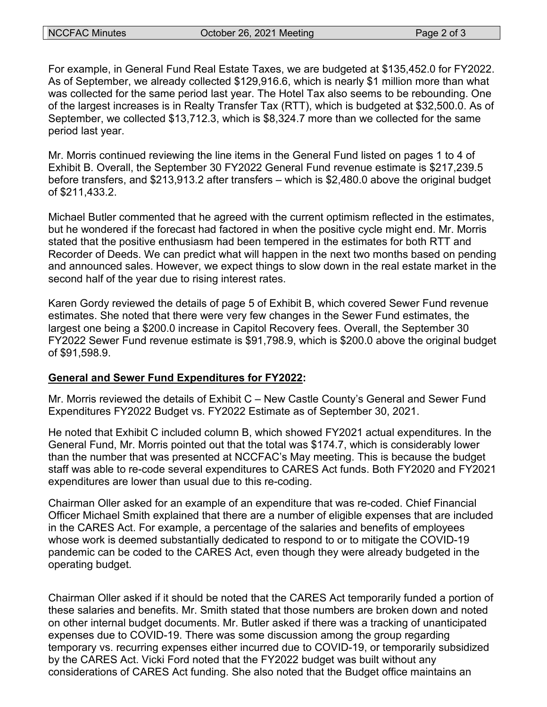For example, in General Fund Real Estate Taxes, we are budgeted at \$135,452.0 for FY2022. As of September, we already collected \$129,916.6, which is nearly \$1 million more than what was collected for the same period last year. The Hotel Tax also seems to be rebounding. One of the largest increases is in Realty Transfer Tax (RTT), which is budgeted at \$32,500.0. As of September, we collected \$13,712.3, which is \$8,324.7 more than we collected for the same period last year.

Mr. Morris continued reviewing the line items in the General Fund listed on pages 1 to 4 of Exhibit B. Overall, the September 30 FY2022 General Fund revenue estimate is \$217,239.5 before transfers, and \$213,913.2 after transfers – which is \$2,480.0 above the original budget of \$211,433.2.

Michael Butler commented that he agreed with the current optimism reflected in the estimates, but he wondered if the forecast had factored in when the positive cycle might end. Mr. Morris stated that the positive enthusiasm had been tempered in the estimates for both RTT and Recorder of Deeds. We can predict what will happen in the next two months based on pending and announced sales. However, we expect things to slow down in the real estate market in the second half of the year due to rising interest rates.

Karen Gordy reviewed the details of page 5 of Exhibit B, which covered Sewer Fund revenue estimates. She noted that there were very few changes in the Sewer Fund estimates, the largest one being a \$200.0 increase in Capitol Recovery fees. Overall, the September 30 FY2022 Sewer Fund revenue estimate is \$91,798.9, which is \$200.0 above the original budget of \$91,598.9.

#### **General and Sewer Fund Expenditures for FY2022:**

Mr. Morris reviewed the details of Exhibit C – New Castle County's General and Sewer Fund Expenditures FY2022 Budget vs. FY2022 Estimate as of September 30, 2021.

He noted that Exhibit C included column B, which showed FY2021 actual expenditures. In the General Fund, Mr. Morris pointed out that the total was \$174.7, which is considerably lower than the number that was presented at NCCFAC's May meeting. This is because the budget staff was able to re-code several expenditures to CARES Act funds. Both FY2020 and FY2021 expenditures are lower than usual due to this re-coding.

Chairman Oller asked for an example of an expenditure that was re-coded. Chief Financial Officer Michael Smith explained that there are a number of eligible expenses that are included in the CARES Act. For example, a percentage of the salaries and benefits of employees whose work is deemed substantially dedicated to respond to or to mitigate the COVID-19 pandemic can be coded to the CARES Act, even though they were already budgeted in the operating budget.

Chairman Oller asked if it should be noted that the CARES Act temporarily funded a portion of these salaries and benefits. Mr. Smith stated that those numbers are broken down and noted on other internal budget documents. Mr. Butler asked if there was a tracking of unanticipated expenses due to COVID-19. There was some discussion among the group regarding temporary vs. recurring expenses either incurred due to COVID-19, or temporarily subsidized by the CARES Act. Vicki Ford noted that the FY2022 budget was built without any considerations of CARES Act funding. She also noted that the Budget office maintains an